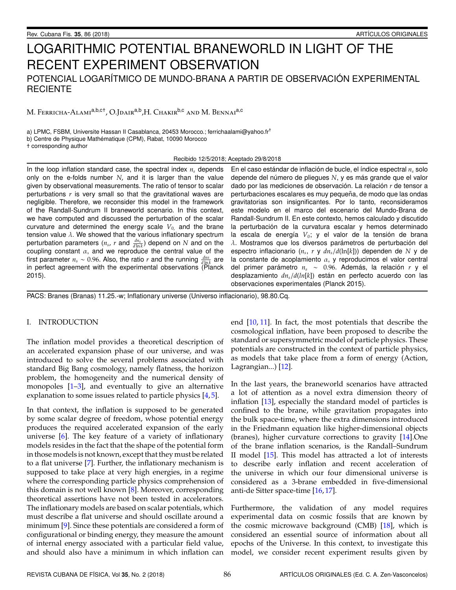# LOGARITHMIC POTENTIAL BRANEWORLD IN LIGHT OF THE RECENT EXPERIMENT OBSERVATION POTENCIAL LOGAR´ITMICO DE MUNDO-BRANA A PARTIR DE OBSERVACION EXPERIMENTAL ´ **RECIENTE**

M. Ferricha-Alami<sup>a,b,c†</sup>, O.Jdair<sup>a,b</sup>,H. Chakir<sup>b,c</sup> and M. Bennai<sup>a,c</sup>

a) LPMC, FSBM, Universite Hassan II Casablanca, 20453 Morocco.; ferrichaalami@yahoo.fr† b) Centre de Physique Mathématique (CPM), Rabat, 10090 Morocco † corresponding author

Recibido 12/5/2018; Aceptado 29/8/2018

In the loop inflation standard case, the spectral index *n<sup>s</sup>* depends only on the e-folds number *N*, and it is larger than the value given by observational measurements. The ratio of tensor to scalar perturbations *r* is very small so that the gravitational waves are negligible. Therefore, we reconsider this model in the framework of the Randall-Sundrum II braneworld scenario. In this context, we have computed and discussed the perturbation of the scalar curvature and determined the energy scale *V*0, and the brane tension value  $\lambda$ . We showed that the various inflationary spectrum perturbation parameters  $(n_s, r$  and  $\frac{dn_s}{d \ln k})$  depend on *N* and on the coupling constant  $\alpha$ , and we reproduce the central value of the first parameter  $n_s \sim 0.96$ . Also, the ratio *r* and the running  $\frac{dn_s}{d\ln k}$  are in perfect agreement with the experimental observations (Planck 2015).

En el caso estándar de inflación de bucle, el índice espectral  $n<sub>s</sub>$  solo depende del número de pliegues N, y es más grande que el valor dado por las mediciones de observación. La relación r de tensor a perturbaciones escalares es muy pequeña, de modo que las ondas gravitatorias son insignificantes. Por lo tanto, reconsideramos este modelo en el marco del escenario del Mundo-Brana de Randall-Sundrum II. En este contexto, hemos calculado y discutido la perturbación de la curvatura escalar y hemos determinado la escala de energía  $V_0$ ; y el valor de la tensión de brana  $\lambda$ . Mostramos que los diversos parámetros de perturbación del espectro inflacionario (*n<sup>s</sup>* , *r* y *dns*/*d*(ln[*k*])) dependen de *N* y de la constante de acoplamiento  $\alpha$ , y reproducimos el valor central del primer parámetro  $n_s \sim 0.96$ . Además, la relación r y el desplazamiento *dns*/*d*(*ln*[*k*]) estan en perfecto acuerdo con las ´ observaciones experimentales (Planck 2015).

PACS: Branes (Branas) 11.25.-w; Inflationary universe (Universo inflacionario), 98.80.Cq.

## I. INTRODUCTION

The inflation model provides a theoretical description of an accelerated expansion phase of our universe, and was introduced to solve the several problems associated with standard Big Bang cosmology, namely flatness, the horizon problem, the homogeneity and the numerical density of monopoles  $[1-3]$  $[1-3]$ , and eventually to give an alternative explanation to some issues related to particle physics [\[4,](#page-4-2)[5\]](#page-4-3).

In that context, the inflation is supposed to be generated by some scalar degree of freedom, whose potential energy produces the required accelerated expansion of the early universe [\[6\]](#page-4-4). The key feature of a variety of inflationary models resides in the fact that the shape of the potential form in those models is not known, except that they must be related to a flat universe [\[7\]](#page-4-5). Further, the inflationary mechanism is supposed to take place at very high energies, in a regime where the corresponding particle physics comprehension of this domain is not well known [\[8\]](#page-4-6). Moreover, corresponding theoretical assertions have not been tested in accelerators. The inflationary models are based on scalar potentials, which must describe a flat universe and should oscillate around a minimum [\[9\]](#page-4-7). Since these potentials are considered a form of configurational or binding energy, they measure the amount of internal energy associated with a particular field value, and should also have a minimum in which inflation can end [\[10,](#page-4-8) [11\]](#page-4-9). In fact, the most potentials that describe the cosmological inflation, have been proposed to describe the standard or supersymmetric model of particle physics. These potentials are constructed in the context of particle physics, as models that take place from a form of energy (Action, Lagrangian...) [\[12\]](#page-4-10).

In the last years, the braneworld scenarios have attracted a lot of attention as a novel extra dimension theory of inflation [\[13\]](#page-4-11), especially the standard model of particles is confined to the brane, while gravitation propagates into the bulk space-time, where the extra dimensions introduced in the Friedmann equation like higher-dimensional objects (branes), higher curvature corrections to gravity [\[14\]](#page-4-12).One of the brane inflation scenarios, is the Randall–Sundrum II model [\[15\]](#page-4-13). This model has attracted a lot of interests to describe early inflation and recent acceleration of the universe in which our four dimensional universe is considered as a 3-brane embedded in five-dimensional anti-de Sitter space-time [\[16,](#page-4-14) [17\]](#page-4-15).

Furthermore, the validation of any model requires experimental data on cosmic fossils that are known by the cosmic microwave background (CMB) [\[18\]](#page-4-16), which is considered an essential source of information about all epochs of the Universe. In this context, to investigate this model, we consider recent experiment results given by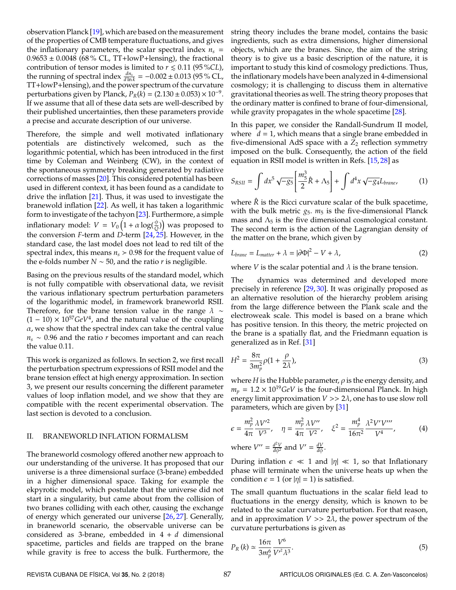observation Planck [\[19\]](#page-4-17), which are based on the measurement of the properties of CMB temperature fluctuations, and gives the inflationary parameters, the scalar spectral index  $n<sub>s</sub>$  =  $0.9653 \pm 0.0048$  (68% CL, TT+lowP+lensing), the fractional contribution of tensor modes is limited to  $r \leq 0.11$  (95 %CL), the running of spectral index  $\frac{dn_s}{d\ln k}$  = −0.002 ± 0.013 (95 % CL, TT+lowP+lensing), and the power spectrum of the curvature perturbations given by Planck,  $P_R(k) = (2.130 \pm 0.053) \times 10^{-9}$ . If we assume that all of these data sets are well-described by their published uncertainties, then these parameters provide a precise and accurate description of our universe.

Therefore, the simple and well motivated inflationary potentials are distinctively welcomed, such as the logarithmic potential, which has been introduced in the first time by Coleman and Weinberg (CW), in the context of the spontaneous symmetry breaking generated by radiative corrections of masses [\[20\]](#page-4-18). This considered potential has been used in different context, it has been found as a candidate to drive the inflation [\[21\]](#page-4-19). Thus, it was used to investigate the branewold inflation [\[22\]](#page-4-20). As well, it has taken a logarithmic form to investigate of the tachyon [\[23\]](#page-4-21). Furthermore, a simple inflationary model:  $V = V_0 \Big( 1 + \alpha \log(\frac{\phi}{Q}) \Big)$  was proposed to the conversion *F*-term and *D*-term [\[24,](#page-4-22) [25\]](#page-4-23). However, in the standard case, the last model does not lead to red tilt of the spectral index, this means  $n<sub>s</sub> > 0.98$  for the frequent value of the e-folds number *, and the ratio <i>r* is negligible.

Basing on the previous results of the standard model, which is not fully compatible with observational data, we revisit the various inflationary spectrum perturbation parameters of the logarithmic model, in framework braneworld RSII. Therefore, for the brane tension value in the range  $\lambda \sim$  $(1 - 10) \times 10^{57}$  GeV<sup>4</sup>, and the natural value of the coupling  $\alpha$ , we show that the spectral index can take the central value *n<sup>s</sup>* ∼ 0.96 and the ratio *r* becomes important and can reach the value 0.11.

This work is organized as follows. In section 2, we first recall the perturbation spectrum expressions of RSII model and the brane tension effect at high energy approximation. In section 3, we present our results concerning the different parameter values of loop inflation model, and we show that they are compatible with the recent experimental observation. The last section is devoted to a conclusion.

### II. BRANEWORLD INFLATION FORMALISM

The braneworld cosmology offered another new approach to our understanding of the universe. It has proposed that our universe is a three dimensional surface (3-brane) embedded in a higher dimensional space. Taking for example the ekpyrotic model, which postulate that the universe did not start in a singularity, but came about from the collision of two branes colliding with each other, causing the exchange of energy which generated our universe [\[26,](#page-4-24) [27\]](#page-4-25). Generally, in braneworld scenario, the observable universe can be considered as 3-brane, embedded in 4 + *d* dimensional spacetime, particles and fields are trapped on the brane while gravity is free to access the bulk. Furthermore, the

string theory includes the brane model, contains the basic ingredients, such as extra dimensions, higher dimensional objects, which are the branes. Since, the aim of the string theory is to give us a basic description of the nature, it is important to study this kind of cosmology predictions. Thus, the inflationary models have been analyzed in 4-dimensional cosmology; it is challenging to discuss them in alternative gravitational theories as well. The string theory proposes that the ordinary matter is confined to brane of four-dimensional, while gravity propagates in the whole spacetime [\[28\]](#page-4-26).

In this paper, we consider the Randall-Sundrum II model, where  $d = 1$ , which means that a single brane embedded in five-dimensional AdS space with a *Z*<sup>2</sup> reflection symmetry imposed on the bulk. Consequently, the action of the field equation in RSII model is written in Refs. [\[15,](#page-4-13) [28\]](#page-4-26) as

$$
S_{RSII} = \int dx^5 \sqrt{-g_5} \left[ \frac{m_5^3}{2} \hat{R} + \Lambda_5 \right] + \int d^4x \sqrt{-g_4} L_{brane}, \tag{1}
$$

where  $\hat{R}$  is the Ricci curvature scalar of the bulk spacetime, with the bulk metric  $g_5$ .  $m_5$  is the five-dimensional Planck mass and  $\Lambda_5$  is the five dimensional cosmological constant. The second term is the action of the Lagrangian density of the matter on the brane, which given by

$$
L_{brane} = L_{matter} + \lambda = |\partial \Phi|^2 - V + \lambda,
$$
\n(2)

where *V* is the scalar potential and  $\lambda$  is the brane tension.

The dynamics was determined and developed more precisely in reference [\[29,](#page-4-27) [30\]](#page-4-28). It was originally proposed as an alternative resolution of the hierarchy problem arising from the large difference between the Plank scale and the electroweak scale. This model is based on a brane which has positive tension. In this theory, the metric projected on the brane is a spatially flat, and the Friedmann equation is generalized as in Ref. [\[31\]](#page-4-29)

$$
H^2 = \frac{8\pi}{3m_p^2}\rho(1 + \frac{\rho}{2\lambda}),\tag{3}
$$

where *H* is the Hubble parameter,  $\rho$  is the energy density, and  $m_p = 1.2 \times 10^{19} \text{GeV}$  is the four-dimensional Planck. In high energy limit approximation  $V >> 2\lambda$ , one has to use slow roll parameters, which are given by [\[31\]](#page-4-29)

<span id="page-1-0"></span>
$$
\epsilon = \frac{m_p^2}{4\pi} \frac{\lambda V'^2}{V^3}, \quad \eta = \frac{m_p^2}{4\pi} \frac{\lambda V''}{V^2}, \quad \xi^2 = \frac{m_p^4}{16\pi^2} \frac{\lambda^2 V' V'''}{V^4},
$$
\n
$$
\text{where } V'' = \frac{d^2 V}{d\phi^2} \text{ and } V' = \frac{dV}{d\phi}.
$$
\n(4)

During inflation  $\epsilon \ll 1$  and  $|\eta| \ll 1$ , so that Inflationary phase will terminate when the universe heats up when the condition  $\epsilon = 1$  (or  $|\eta| = 1$ ) is satisfied.

The small quantum fluctuations in the scalar field lead to fluctuations in the energy density, which is known to be related to the scalar curvature perturbation. For that reason, and in approximation  $V \gg 2\lambda$ , the power spectrum of the curvature perturbations is given as

<span id="page-1-1"></span>
$$
P_R(k) \simeq \frac{16\pi}{3m_p^6} \frac{V^6}{V'^2 \lambda^3}.
$$
\n(5)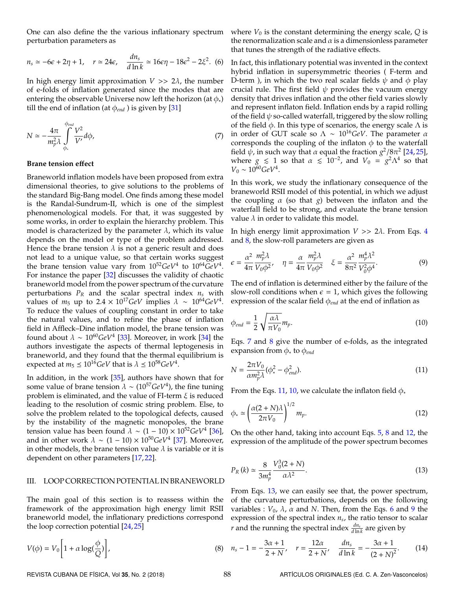<span id="page-2-6"></span>One can also define the the various inflationary spectrum perturbation parameters as

$$
n_s \simeq -6\epsilon + 2\eta + 1, \quad r \simeq 24\epsilon, \quad \frac{dn_s}{d\ln k} \simeq 16\epsilon\eta - 18\epsilon^2 - 2\xi^2. \tag{6}
$$

In high energy limit approximation  $V \gg 2\lambda$ , the number of e-folds of inflation generated since the modes that are entering the observable Universe now left the horizon (at  $\phi_*$ ) till the end of inflation (at  $\phi_{end}$ ) is given by [\[31\]](#page-4-29)

$$
N \simeq -\frac{4\pi}{m_p^2 \lambda} \int\limits_{\phi_*}^{\phi_{end}} \frac{V^2}{V'} d\phi, \tag{7}
$$

# **Brane tension e**ff**ect**

Braneworld inflation models have been proposed from extra dimensional theories, to give solutions to the problems of the standard Big-Bang model. One finds among these model is the Randal-Sundrum-II, which is one of the simplest phenomenological models. For that, it was suggested by some works, in order to explain the hierarchy problem. This model is characterized by the parameter  $\lambda$ , which its value depends on the model or type of the problem addressed. Hence the brane tension  $\lambda$  is not a generic result and does not lead to a unique value, so that certain works suggest the brane tension value vary from  $10^{52}$ *GeV*<sup>4</sup> to  $10^{64}$ *GeV*<sup>4</sup>. For instance the paper [\[32\]](#page-4-30) discusses the validity of chaotic braneworld model from the power spectrum of the curvature perturbations  $P_R$  and the scalar spectral index  $n_s$  with values of  $m_5$  up to 2.4 × 10<sup>17</sup>*GeV* implies  $\lambda \sim 10^{64}$ *GeV*<sup>4</sup>. To reduce the values of coupling constant in order to take the natural values, and to refine the phase of inflation field in Affleck–Dine inflation model, the brane tension was found about  $\lambda \sim 10^{60} \text{GeV}^4$  [\[33\]](#page-4-31). Moreover, in work [\[34\]](#page-4-32) the authors investigate the aspects of thermal leptogenesis in braneworld, and they found that the thermal equilibrium is expected at  $m_5 \leq 10^{16} GeV$  that is  $\lambda \leq 10^{58} GeV^4$ .

In addition, in the work [\[35\]](#page-4-33), authors have shown that for some value of brane tension  $\lambda \sim (10^{57} \text{GeV}^4)$ , the fine tuning problem is eliminated, and the value of FI-term  $\xi$  is reduced leading to the resolution of cosmic string problem. Else, to solve the problem related to the topological defects, caused by the instability of the magnetic monopoles, the brane tension value has been found  $\lambda \sim (1 - 10) \times 10^{52} \text{GeV}^4$  [\[36\]](#page-4-34), and in other work  $\lambda \sim (1 - 10) \times 10^{50} \text{GeV}^4$  [\[37\]](#page-4-35). Moreover, in other models, the brane tension value  $\lambda$  is variable or it is dependent on other parameters [\[17,](#page-4-15) [22\]](#page-4-20).

#### III. LOOP CORRECTION POTENTIAL IN BRANEWORLD

The main goal of this section is to reassess within the framework of the approximation high energy limit RSII braneworld model, the inflationary predictions correspond the loop correction potential [\[24,](#page-4-22) [25\]](#page-4-23)

$$
V(\phi) = V_0 \left[ 1 + \alpha \log(\frac{\phi}{Q}) \right],\tag{8}
$$

where  $V_0$  is the constant determining the energy scale,  $Q$  is the renormalization scale and  $\alpha$  is a dimensionless parameter that tunes the strength of the radiative effects.

<span id="page-2-1"></span>In fact, this inflationary potential was invented in the context hybrid inflation in supersymmetric theories ( F-term and D-term ), in which the two real scalar fields  $\psi$  and  $\phi$  play crucial rule. The first field  $\psi$  provides the vacuum energy density that drives inflation and the other field varies slowly and represent inflaton field. Inflation ends by a rapid rolling of the field  $\psi$  so-called waterfall, triggered by the slow rolling of the field  $\phi$ . In this type of scenarios, the energy scale  $\Lambda$  is in order of GUT scale so  $\Lambda \sim 10^{16}$ GeV. The parameter  $\alpha$ corresponds the coupling of the inflaton  $\phi$  to the waterfall field  $ψ$ , in such way that α equal the fraction  $g^2/8\pi^2$  [\[24,](#page-4-22)[25\]](#page-4-23), where  $g \le 1$  so that  $\alpha \le 10^{-2}$ , and  $V_0 = g^2 \Lambda^4$  so that  $V_0 \sim 10^{60} GeV^4$ .

In this work, we study the inflationary consequence of the braneworld RSII model of this potential, in which we adjust the coupling α (so that *g*) between the inflaton and the waterfall field to be strong, and evaluate the brane tension value  $\lambda$  in order to validate this model.

<span id="page-2-7"></span>In high energy limit approximation *V* >> 2λ. From Eqs. [4](#page-1-0) and [8,](#page-2-0) the slow-roll parameters are given as

$$
\epsilon = \frac{\alpha^2}{4\pi} \frac{m_p^2 \lambda}{V_0 \phi^2}, \quad \eta = \frac{\alpha}{4\pi} \frac{m_p^2 \lambda}{V_0 \phi^2} \quad \xi = \frac{\alpha^2}{8\pi^2} \frac{m_p^4 \lambda^2}{V_0^2 \phi^4}.
$$
 (9)

<span id="page-2-3"></span>The end of inflation is determined either by the failure of the slow-roll conditions when  $\epsilon = 1$ , which gives the following expression of the scalar field  $\phi_{end}$  at the end of inflation as

$$
\phi_{end} = \frac{1}{2} \sqrt{\frac{\alpha \lambda}{\pi V_0}} m_p. \tag{10}
$$

<span id="page-2-2"></span>Eqs. [7](#page-2-1) and [8](#page-2-0) give the number of e-folds, as the integrated expansion from φ<sup>∗</sup> to φ*end*

$$
N = \frac{2\pi V_0}{\alpha m_p^2 \lambda} (\phi_*^2 - \phi_{end}^2). \tag{11}
$$

<span id="page-2-4"></span>From the Eqs. [11,](#page-2-2) [10,](#page-2-3) we calculate the inflaton field  $\phi_*$ 

$$
\phi_* \simeq \left(\frac{\alpha(2+N)\lambda}{2\pi V_0}\right)^{1/2} m_p. \tag{12}
$$

<span id="page-2-5"></span>On the other hand, taking into account Eqs. [5,](#page-1-1) [8](#page-2-0) and [12,](#page-2-4) the expression of the amplitude of the power spectrum becomes

$$
P_R(k) \simeq \frac{8}{3m_p^4} \frac{V_0^3 (2+N)}{\alpha \lambda^2}.
$$
 (13)

<span id="page-2-8"></span>From Eqs. [13,](#page-2-5) we can easily see that, the power spectrum, of the curvature perturbations, depends on the following variables :  $V_0$ ,  $\lambda$ ,  $\alpha$  and N. Then, from the Eqs. [6](#page-2-6) and [9](#page-2-7) the expression of the spectral index *n<sup>s</sup>* , the ratio tensor to scalar *r* and the running the spectral index  $\frac{dn_s}{d \ln k}$  are given by

<span id="page-2-0"></span>
$$
n_{s}-1=-\frac{3\alpha+1}{2+N},\quad r=\frac{12\alpha}{2+N},\quad \frac{dn_{s}}{d\ln k}=-\frac{3\alpha+1}{(2+N)^{2}}.\tag{14}
$$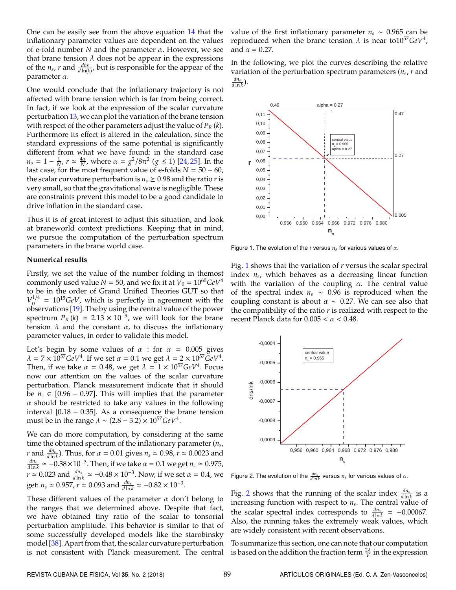One can be easily see from the above equation [14](#page-2-8) that the inflationary parameter values are dependent on the values of e-fold number *N* and the parameter α. However, we see that brane tension  $\lambda$  does not be appear in the expressions of the  $n_s$ ,  $r$  and  $\frac{dn_s}{d \ln(k)}$ , but is responsible for the appear of the parameter α.

One would conclude that the inflationary trajectory is not affected with brane tension which is far from being correct. In fact, if we look at the expression of the scalar curvature perturbation [13,](#page-2-5) we can plot the variation of the brane tension with respect of the other parameters adjust the value of *P<sup>R</sup>* (*k*). Furthermore its effect is altered in the calculation, since the standard expressions of the same potential is significantly different from what we have found: in the standard case  $n_s = 1 - \frac{1}{N}$ ,  $r \simeq \frac{4\alpha}{N}$ , where  $\alpha = g^2/8\pi^2$  (*g* ≤ 1) [\[24,](#page-4-22) [25\]](#page-4-23). In the last case, for the most frequent value of e-folds  $N = 50 - 60$ , the scalar curvature perturbation is  $n_s \geq 0.98$  and the ratio *r* is very small, so that the gravitational wave is negligible. These are constraints prevent this model to be a good candidate to drive inflation in the standard case.

Thus it is of great interest to adjust this situation, and look at braneworld context predictions. Keeping that in mind, we pursue the computation of the perturbation spectrum parameters in the brane world case.

# **Numerical results**

Firstly, we set the value of the number folding in themost commonly used value  $N = 50$ , and we fix it at  $V_0 = 10^{60} GeV^4$ to be in the order of Grand Unified Theories GUT so that  $V_0^{1/4}$  $\frac{d^{1/4}}{dt^{0}} = 10^{15} \text{GeV}$ , which is perfectly in agreement with the observations [\[19\]](#page-4-17). The by using the central value of the power spectrum  $P_R(k) \approx 2.13 \times 10^{-9}$ , we will look for the brane tension  $\lambda$  and the constant  $\alpha$ , to discuss the inflationary parameter values, in order to validate this model.

Let's begin by some values of  $\alpha$  : for  $\alpha = 0.005$  gives  $\lambda = 7 \times 10^{57}$ GeV<sup>4</sup>. If we set  $\alpha = 0.1$  we get  $\lambda = 2 \times 10^{57}$ GeV<sup>4</sup>. Then, if we take  $\alpha = 0.48$ , we get  $\lambda = 1 \times 10^{57} GeV^4$ . Focus now our attention on the values of the scalar curvature perturbation. Planck measurement indicate that it should be  $n_s \in [0.96 - 0.97]$ . This will implies that the parameter  $\alpha$  should be restricted to take any values in the following interval [0.18 − 0.35]. As a consequence the brane tension must be in the range  $\lambda \sim (2.8 - 3.2) \times 10^{57} GeV^4$ .

We can do more computation, by considering at the same time the obtained spectrum of the inflationary parameter (*n<sup>s</sup>* , *r* and  $\frac{dn_s}{d \ln k}$ ). Thus, for  $\alpha = 0.01$  gives  $n_s \approx 0.98$ ,  $r \approx 0.0023$  and  $\frac{dn_s}{d\ln k}$  ≈ −0.38×10<sup>-3</sup>. Then, if we take  $\alpha$  = 0.1 we get  $n_s$  ≈ 0.975,  $r \approx 0.023$  and  $\frac{dn_s}{d \ln k} \approx -0.48 \times 10^{-3}$ . Now, if we set  $\alpha = 0.4$ , we get:  $n_s \approx 0.957$ ,  $r \approx 0.093$  and  $\frac{dn_s}{d \ln k} \approx -0.82 \times 10^{-3}$ .

These different values of the parameter  $\alpha$  don't belong to the ranges that we determined above. Despite that fact, we have obtained tiny ratio of the scalar to tonsorial perturbation amplitude. This behavior is similar to that of some successfully developed models like the starobinsky model [\[38\]](#page-4-36). Apart from that, the scalar curvature perturbation is not consistent with Planck measurement. The central

value of the first inflationary parameter  $n_s \sim 0.965$  can be reproduced when the brane tension  $\lambda$  is near to  $10^{57}GeV^4$ , and  $\alpha = 0.27$ .

In the following, we plot the curves describing the relative variation of the perturbation spectrum parameters (*n<sup>s</sup>* , *r* and  $\frac{dn_s}{d\ln k}$ ).

<span id="page-3-0"></span>

Figure 1. The evolution of the r versus  $n_s$  for various values of  $\alpha$ .

Fig. [1](#page-3-0) shows that the variation of *r* versus the scalar spectral index *n<sup>s</sup>* , which behaves as a decreasing linear function with the variation of the coupling  $\alpha$ . The central value of the spectral index  $n_s \sim 0.96$  is reproduced when the coupling constant is about  $\alpha \sim 0.27$ . We can see also that the compatibility of the ratio *r* is realized with respect to the recent Planck data for  $0.005 < \alpha < 0.48$ .

<span id="page-3-1"></span>

Figure 2. The evolution of the  $\frac{dn_s}{d \ln k}$  versus  $n_s$  for various values of  $\alpha$ .

Fig. [2](#page-3-1) shows that the running of the scalar index  $\frac{dn_s}{d \ln k}$  is a increasing function with respect to *n<sup>s</sup>* . The central value of the scalar spectral index corresponds to  $\frac{dn_s}{d \ln k}$  = -0.00067. Also, the running takes the extremely weak values, which are widely consistent with recent observations.

To summarize this section, one can note that our computation is based on the addition the fraction term  $\frac{2\lambda}{V}$  in the expression